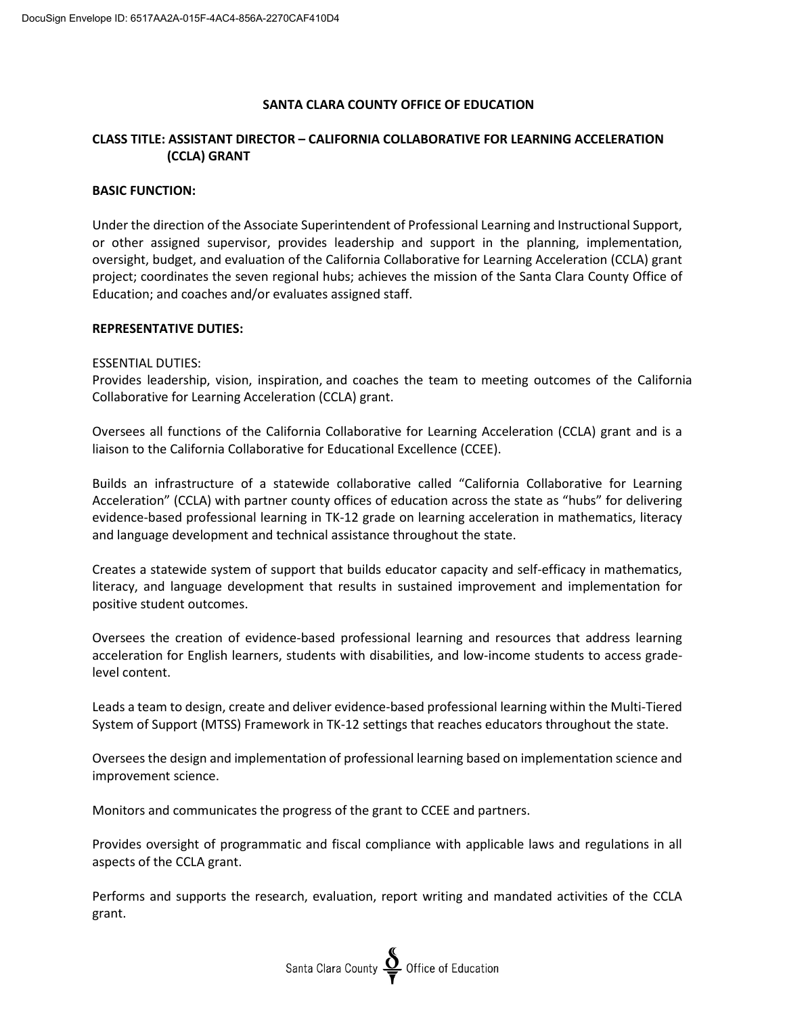## **SANTA CLARA COUNTY OFFICE OF EDUCATION**

# **CLASS TITLE: ASSISTANT DIRECTOR – CALIFORNIA COLLABORATIVE FOR LEARNING ACCELERATION (CCLA) GRANT**

## **BASIC FUNCTION:**

Under the direction of the Associate Superintendent of Professional Learning and Instructional Support, or other assigned supervisor, provides leadership and support in the planning, implementation, oversight, budget, and evaluation of the California Collaborative for Learning Acceleration (CCLA) grant project; coordinates the seven regional hubs; achieves the mission of the Santa Clara County Office of Education; and coaches and/or evaluates assigned staff.

#### **REPRESENTATIVE DUTIES:**

### ESSENTIAL DUTIES:

Provides leadership, vision, inspiration, and coaches the team to meeting outcomes of the California Collaborative for Learning Acceleration (CCLA) grant.

Oversees all functions of the California Collaborative for Learning Acceleration (CCLA) grant and is a liaison to the California Collaborative for Educational Excellence (CCEE).

Builds an infrastructure of a statewide collaborative called "California Collaborative for Learning Acceleration" (CCLA) with partner county offices of education across the state as "hubs" for delivering evidence-based professional learning in TK-12 grade on learning acceleration in mathematics, literacy and language development and technical assistance throughout the state.

Creates a statewide system of support that builds educator capacity and self-efficacy in mathematics, literacy, and language development that results in sustained improvement and implementation for positive student outcomes.

Oversees the creation of evidence-based professional learning and resources that address learning acceleration for English learners, students with disabilities, and low-income students to access gradelevel content.

Leads a team to design, create and deliver evidence-based professional learning within the Multi-Tiered System of Support (MTSS) Framework in TK-12 settings that reaches educators throughout the state.

Oversees the design and implementation of professional learning based on implementation science and improvement science.

Monitors and communicates the progress of the grant to CCEE and partners.

Provides oversight of programmatic and fiscal compliance with applicable laws and regulations in all aspects of the CCLA grant.

Performs and supports the research, evaluation, report writing and mandated activities of the CCLA grant.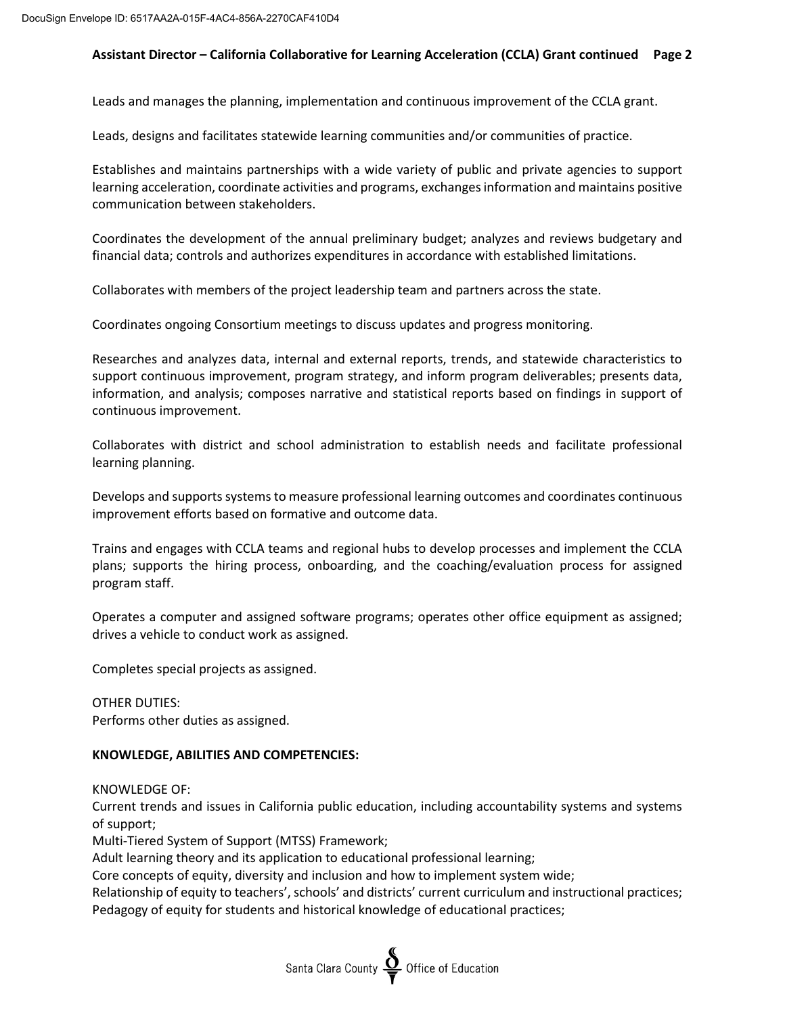# **Assistant Director – California Collaborative for Learning Acceleration (CCLA) Grant continued Page 2**

Leads and manages the planning, implementation and continuous improvement of the CCLA grant.

Leads, designs and facilitates statewide learning communities and/or communities of practice.

Establishes and maintains partnerships with a wide variety of public and private agencies to support learning acceleration, coordinate activities and programs, exchangesinformation and maintains positive communication between stakeholders.

Coordinates the development of the annual preliminary budget; analyzes and reviews budgetary and financial data; controls and authorizes expenditures in accordance with established limitations.

Collaborates with members of the project leadership team and partners across the state.

Coordinates ongoing Consortium meetings to discuss updates and progress monitoring.

Researches and analyzes data, internal and external reports, trends, and statewide characteristics to support continuous improvement, program strategy, and inform program deliverables; presents data, information, and analysis; composes narrative and statistical reports based on findings in support of continuous improvement.

Collaborates with district and school administration to establish needs and facilitate professional learning planning.

Develops and supports systems to measure professional learning outcomes and coordinates continuous improvement efforts based on formative and outcome data.

Trains and engages with CCLA teams and regional hubs to develop processes and implement the CCLA plans; supports the hiring process, onboarding, and the coaching/evaluation process for assigned program staff.

Operates a computer and assigned software programs; operates other office equipment as assigned; drives a vehicle to conduct work as assigned.

Completes special projects as assigned.

OTHER DUTIES: Performs other duties as assigned.

### **KNOWLEDGE, ABILITIES AND COMPETENCIES:**

KNOWLEDGE OF:

Current trends and issues in California public education, including accountability systems and systems of support;

Multi-Tiered System of Support (MTSS) Framework;

Adult learning theory and its application to educational professional learning;

Core concepts of equity, diversity and inclusion and how to implement system wide;

Relationship of equity to teachers', schools' and districts' current curriculum and instructional practices; Pedagogy of equity for students and historical knowledge of educational practices;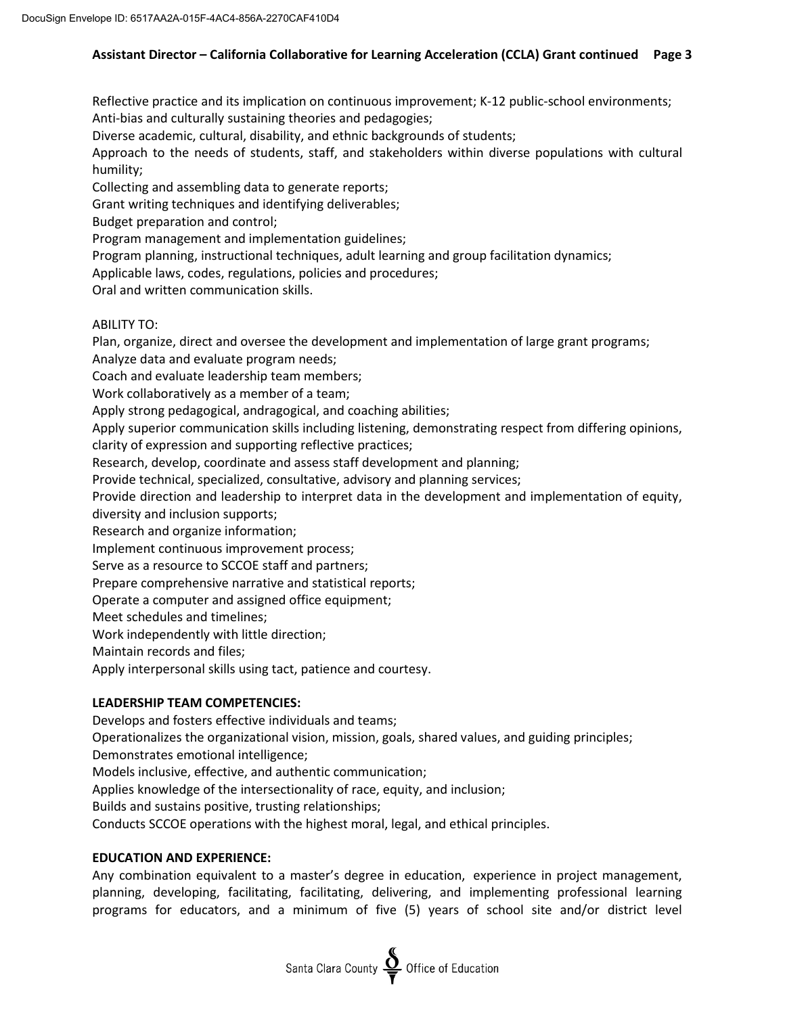# **Assistant Director – California Collaborative for Learning Acceleration (CCLA) Grant continued Page 3**

Reflective practice and its implication on continuous improvement; K-12 public-school environments; Anti-bias and culturally sustaining theories and pedagogies;

Diverse academic, cultural, disability, and ethnic backgrounds of students;

Approach to the needs of students, staff, and stakeholders within diverse populations with cultural humility;

Collecting and assembling data to generate reports;

Grant writing techniques and identifying deliverables;

Budget preparation and control;

Program management and implementation guidelines;

Program planning, instructional techniques, adult learning and group facilitation dynamics;

Applicable laws, codes, regulations, policies and procedures;

Oral and written communication skills.

# ABILITY TO:

Plan, organize, direct and oversee the development and implementation of large grant programs;

Analyze data and evaluate program needs;

Coach and evaluate leadership team members;

Work collaboratively as a member of a team;

Apply strong pedagogical, andragogical, and coaching abilities;

Apply superior communication skills including listening, demonstrating respect from differing opinions, clarity of expression and supporting reflective practices;

Research, develop, coordinate and assess staff development and planning;

Provide technical, specialized, consultative, advisory and planning services;

Provide direction and leadership to interpret data in the development and implementation of equity, diversity and inclusion supports;

Research and organize information;

Implement continuous improvement process;

Serve as a resource to SCCOE staff and partners;

Prepare comprehensive narrative and statistical reports;

Operate a computer and assigned office equipment;

Meet schedules and timelines;

Work independently with little direction;

Maintain records and files;

Apply interpersonal skills using tact, patience and courtesy.

# **LEADERSHIP TEAM COMPETENCIES:**

Develops and fosters effective individuals and teams;

Operationalizes the organizational vision, mission, goals, shared values, and guiding principles;

Demonstrates emotional intelligence;

Models inclusive, effective, and authentic communication;

Applies knowledge of the intersectionality of race, equity, and inclusion;

Builds and sustains positive, trusting relationships;

Conducts SCCOE operations with the highest moral, legal, and ethical principles.

# **EDUCATION AND EXPERIENCE:**

Any combination equivalent to a master's degree in education, experience in project management, planning, developing, facilitating, facilitating, delivering, and implementing professional learning programs for educators, and a minimum of five (5) years of school site and/or district level